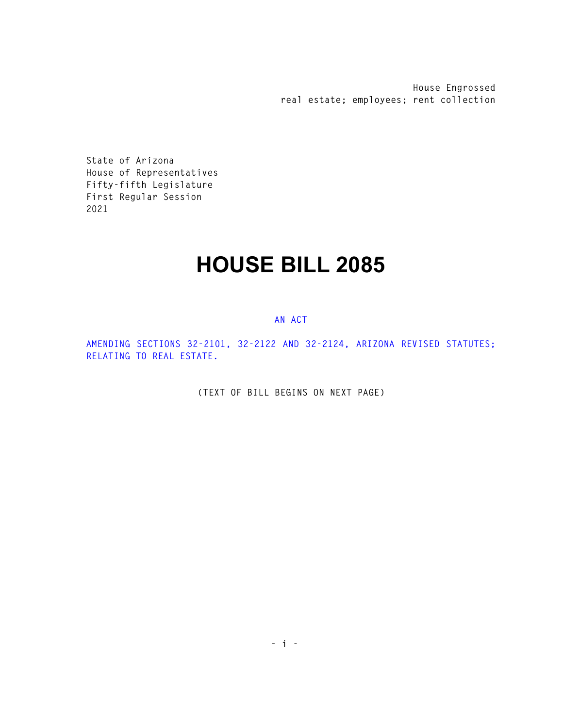**House Engrossed real estate; employees; rent collection** 

**State of Arizona House of Representatives Fifty-fifth Legislature First Regular Session 2021** 

## **HOUSE BILL 2085**

## **AN ACT**

**AMENDING SECTIONS 32-2101, 32-2122 AND 32-2124, ARIZONA REVISED STATUTES; RELATING TO REAL ESTATE.** 

**(TEXT OF BILL BEGINS ON NEXT PAGE)**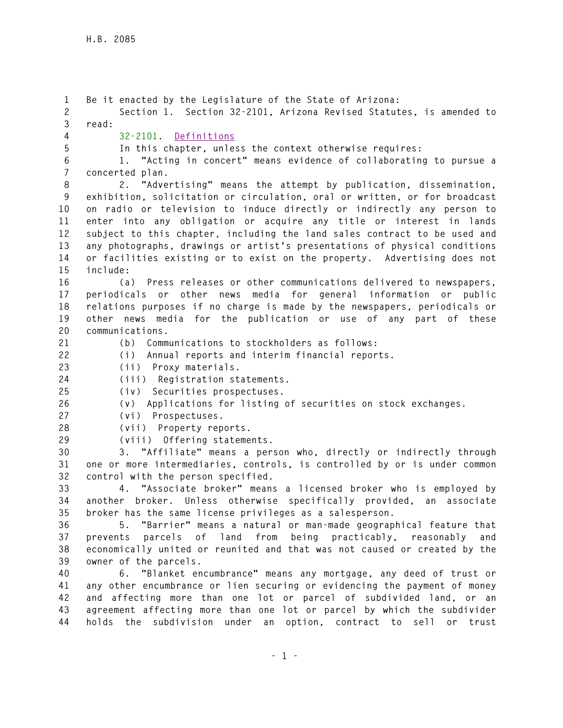**1 Be it enacted by the Legislature of the State of Arizona: 2 Section 1. Section 32-2101, Arizona Revised Statutes, is amended to 3 read: 4 32-2101. Definitions 5 In this chapter, unless the context otherwise requires: 6 1. "Acting in concert" means evidence of collaborating to pursue a 7 concerted plan. 8 2. "Advertising" means the attempt by publication, dissemination, 9 exhibition, solicitation or circulation, oral or written, or for broadcast 10 on radio or television to induce directly or indirectly any person to 11 enter into any obligation or acquire any title or interest in lands 12 subject to this chapter, including the land sales contract to be used and 13 any photographs, drawings or artist's presentations of physical conditions 14 or facilities existing or to exist on the property. Advertising does not 15 include: 16 (a) Press releases or other communications delivered to newspapers, 17 periodicals or other news media for general information or public 18 relations purposes if no charge is made by the newspapers, periodicals or 19 other news media for the publication or use of any part of these 20 communications. 21 (b) Communications to stockholders as follows: 22 (i) Annual reports and interim financial reports. 23 (ii) Proxy materials. 24 (iii) Registration statements. 25 (iv) Securities prospectuses. 26 (v) Applications for listing of securities on stock exchanges. 27 (vi) Prospectuses. 28 (vii) Property reports. 29 (viii) Offering statements. 30 3. "Affiliate" means a person who, directly or indirectly through 31 one or more intermediaries, controls, is controlled by or is under common 32 control with the person specified. 33 4. "Associate broker" means a licensed broker who is employed by 34 another broker. Unless otherwise specifically provided, an associate 35 broker has the same license privileges as a salesperson. 36 5. "Barrier" means a natural or man-made geographical feature that 37 prevents parcels of land from being practicably, reasonably and 38 economically united or reunited and that was not caused or created by the 39 owner of the parcels. 40 6. "Blanket encumbrance" means any mortgage, any deed of trust or 41 any other encumbrance or lien securing or evidencing the payment of money 42 and affecting more than one lot or parcel of subdivided land, or an 43 agreement affecting more than one lot or parcel by which the subdivider 44 holds the subdivision under an option, contract to sell or trust**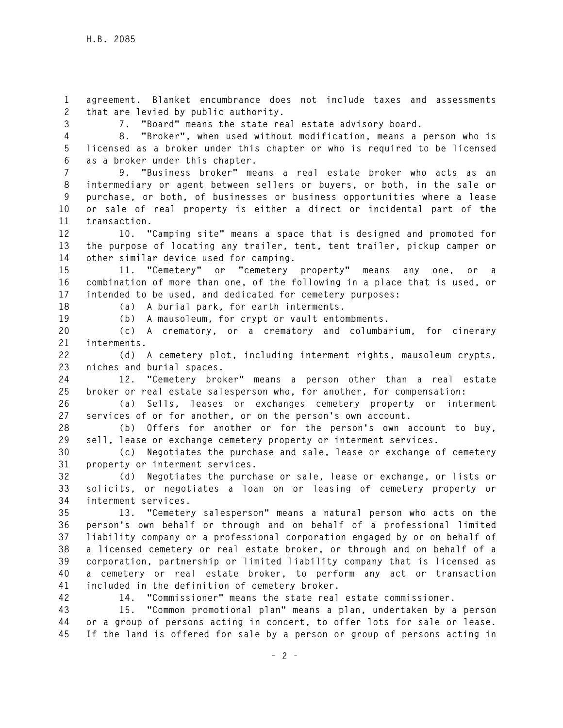**1 agreement. Blanket encumbrance does not include taxes and assessments 2 that are levied by public authority.** 

**3 7. "Board" means the state real estate advisory board.** 

**4 8. "Broker", when used without modification, means a person who is 5 licensed as a broker under this chapter or who is required to be licensed 6 as a broker under this chapter.** 

**7 9. "Business broker" means a real estate broker who acts as an 8 intermediary or agent between sellers or buyers, or both, in the sale or 9 purchase, or both, of businesses or business opportunities where a lease 10 or sale of real property is either a direct or incidental part of the 11 transaction.** 

**12 10. "Camping site" means a space that is designed and promoted for 13 the purpose of locating any trailer, tent, tent trailer, pickup camper or 14 other similar device used for camping.** 

**15 11. "Cemetery" or "cemetery property" means any one, or a 16 combination of more than one, of the following in a place that is used, or 17 intended to be used, and dedicated for cemetery purposes:** 

**18 (a) A burial park, for earth interments.** 

**19 (b) A mausoleum, for crypt or vault entombments.** 

**20 (c) A crematory, or a crematory and columbarium, for cinerary 21 interments.** 

**22 (d) A cemetery plot, including interment rights, mausoleum crypts, 23 niches and burial spaces.** 

**24 12. "Cemetery broker" means a person other than a real estate 25 broker or real estate salesperson who, for another, for compensation:** 

**26 (a) Sells, leases or exchanges cemetery property or interment 27 services of or for another, or on the person's own account.** 

**28 (b) Offers for another or for the person's own account to buy, 29 sell, lease or exchange cemetery property or interment services.** 

**30 (c) Negotiates the purchase and sale, lease or exchange of cemetery 31 property or interment services.** 

**32 (d) Negotiates the purchase or sale, lease or exchange, or lists or 33 solicits, or negotiates a loan on or leasing of cemetery property or 34 interment services.** 

**35 13. "Cemetery salesperson" means a natural person who acts on the 36 person's own behalf or through and on behalf of a professional limited 37 liability company or a professional corporation engaged by or on behalf of 38 a licensed cemetery or real estate broker, or through and on behalf of a 39 corporation, partnership or limited liability company that is licensed as 40 a cemetery or real estate broker, to perform any act or transaction 41 included in the definition of cemetery broker.** 

**42 14. "Commissioner" means the state real estate commissioner.** 

**43 15. "Common promotional plan" means a plan, undertaken by a person 44 or a group of persons acting in concert, to offer lots for sale or lease. 45 If the land is offered for sale by a person or group of persons acting in**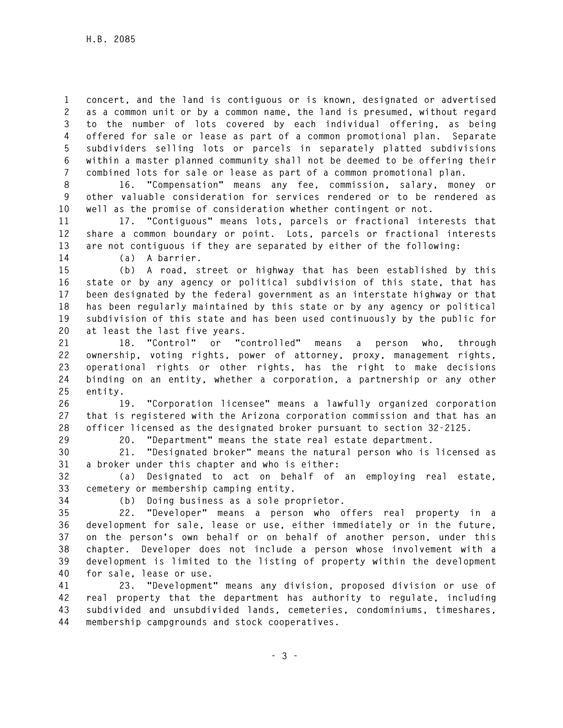**1 concert, and the land is contiguous or is known, designated or advertised 2 as a common unit or by a common name, the land is presumed, without regard 3 to the number of lots covered by each individual offering, as being 4 offered for sale or lease as part of a common promotional plan. Separate 5 subdividers selling lots or parcels in separately platted subdivisions 6 within a master planned community shall not be deemed to be offering their 7 combined lots for sale or lease as part of a common promotional plan.** 

**8 16. "Compensation" means any fee, commission, salary, money or 9 other valuable consideration for services rendered or to be rendered as 10 well as the promise of consideration whether contingent or not.** 

**11 17. "Contiguous" means lots, parcels or fractional interests that 12 share a common boundary or point. Lots, parcels or fractional interests 13 are not contiguous if they are separated by either of the following:** 

**14 (a) A barrier.** 

**15 (b) A road, street or highway that has been established by this 16 state or by any agency or political subdivision of this state, that has 17 been designated by the federal government as an interstate highway or that 18 has been regularly maintained by this state or by any agency or political 19 subdivision of this state and has been used continuously by the public for 20 at least the last five years.** 

**21 18. "Control" or "controlled" means a person who, through 22 ownership, voting rights, power of attorney, proxy, management rights, 23 operational rights or other rights, has the right to make decisions 24 binding on an entity, whether a corporation, a partnership or any other 25 entity.** 

**26 19. "Corporation licensee" means a lawfully organized corporation 27 that is registered with the Arizona corporation commission and that has an 28 officer licensed as the designated broker pursuant to section 32-2125.** 

**29 20. "Department" means the state real estate department.** 

**30 21. "Designated broker" means the natural person who is licensed as 31 a broker under this chapter and who is either:** 

**32 (a) Designated to act on behalf of an employing real estate, 33 cemetery or membership camping entity.** 

**34 (b) Doing business as a sole proprietor.** 

**35 22. "Developer" means a person who offers real property in a 36 development for sale, lease or use, either immediately or in the future, 37 on the person's own behalf or on behalf of another person, under this 38 chapter. Developer does not include a person whose involvement with a 39 development is limited to the listing of property within the development 40 for sale, lease or use.** 

**41 23. "Development" means any division, proposed division or use of 42 real property that the department has authority to regulate, including 43 subdivided and unsubdivided lands, cemeteries, condominiums, timeshares, 44 membership campgrounds and stock cooperatives.**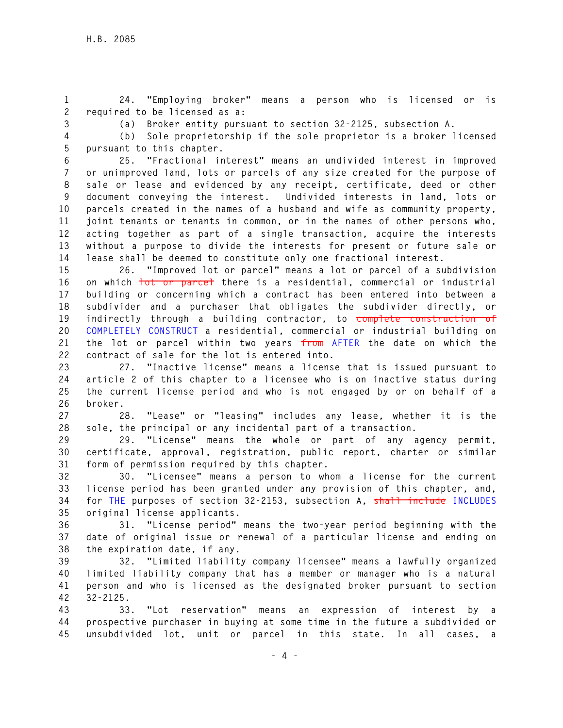**1 24. "Employing broker" means a person who is licensed or is 2 required to be licensed as a:** 

**3 (a) Broker entity pursuant to section 32-2125, subsection A.** 

**4 (b) Sole proprietorship if the sole proprietor is a broker licensed 5 pursuant to this chapter.** 

**6 25. "Fractional interest" means an undivided interest in improved 7 or unimproved land, lots or parcels of any size created for the purpose of 8 sale or lease and evidenced by any receipt, certificate, deed or other 9 document conveying the interest. Undivided interests in land, lots or 10 parcels created in the names of a husband and wife as community property, 11 joint tenants or tenants in common, or in the names of other persons who, 12 acting together as part of a single transaction, acquire the interests 13 without a purpose to divide the interests for present or future sale or 14 lease shall be deemed to constitute only one fractional interest.** 

**15 26. "Improved lot or parcel" means a lot or parcel of a subdivision 16 on which lot or parcel there is a residential, commercial or industrial 17 building or concerning which a contract has been entered into between a 18 subdivider and a purchaser that obligates the subdivider directly, or 19 indirectly through a building contractor, to complete construction of 20 COMPLETELY CONSTRUCT a residential, commercial or industrial building on 21 the lot or parcel within two years from AFTER the date on which the 22 contract of sale for the lot is entered into.** 

**23 27. "Inactive license" means a license that is issued pursuant to 24 article 2 of this chapter to a licensee who is on inactive status during 25 the current license period and who is not engaged by or on behalf of a 26 broker.** 

**27 28. "Lease" or "leasing" includes any lease, whether it is the 28 sole, the principal or any incidental part of a transaction.** 

**29 29. "License" means the whole or part of any agency permit, 30 certificate, approval, registration, public report, charter or similar 31 form of permission required by this chapter.** 

**32 30. "Licensee" means a person to whom a license for the current 33 license period has been granted under any provision of this chapter, and, 34 for THE purposes of section 32-2153, subsection A, shall include INCLUDES 35 original license applicants.** 

**36 31. "License period" means the two-year period beginning with the 37 date of original issue or renewal of a particular license and ending on 38 the expiration date, if any.** 

**39 32. "Limited liability company licensee" means a lawfully organized 40 limited liability company that has a member or manager who is a natural 41 person and who is licensed as the designated broker pursuant to section 42 32-2125.** 

**43 33. "Lot reservation" means an expression of interest by a 44 prospective purchaser in buying at some time in the future a subdivided or 45 unsubdivided lot, unit or parcel in this state. In all cases, a**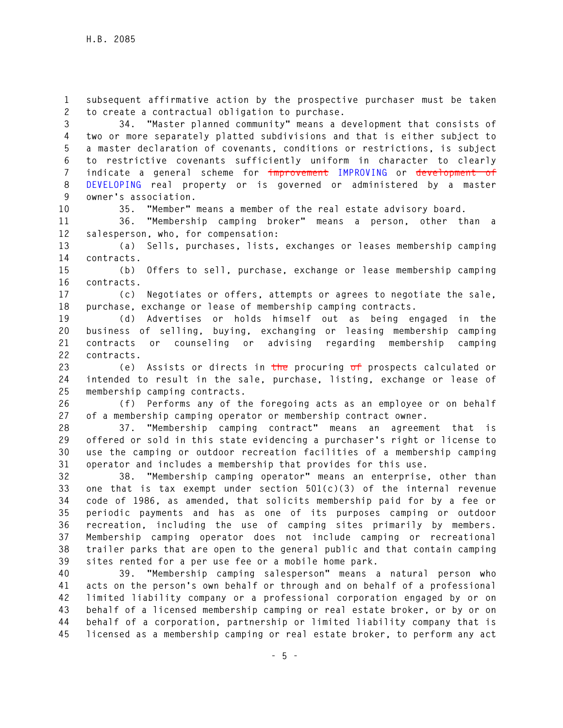**1 subsequent affirmative action by the prospective purchaser must be taken 2 to create a contractual obligation to purchase.** 

**3 34. "Master planned community" means a development that consists of 4 two or more separately platted subdivisions and that is either subject to 5 a master declaration of covenants, conditions or restrictions, is subject 6 to restrictive covenants sufficiently uniform in character to clearly 7 indicate a general scheme for improvement IMPROVING or development of 8 DEVELOPING real property or is governed or administered by a master 9 owner's association.** 

**10 35. "Member" means a member of the real estate advisory board.** 

**11 36. "Membership camping broker" means a person, other than a 12 salesperson, who, for compensation:** 

**13 (a) Sells, purchases, lists, exchanges or leases membership camping 14 contracts.** 

**15 (b) Offers to sell, purchase, exchange or lease membership camping 16 contracts.** 

**17 (c) Negotiates or offers, attempts or agrees to negotiate the sale, 18 purchase, exchange or lease of membership camping contracts.** 

**19 (d) Advertises or holds himself out as being engaged in the 20 business of selling, buying, exchanging or leasing membership camping 21 contracts or counseling or advising regarding membership camping 22 contracts.** 

**23 (e) Assists or directs in the procuring of prospects calculated or 24 intended to result in the sale, purchase, listing, exchange or lease of 25 membership camping contracts.** 

**26 (f) Performs any of the foregoing acts as an employee or on behalf 27 of a membership camping operator or membership contract owner.** 

**28 37. "Membership camping contract" means an agreement that is 29 offered or sold in this state evidencing a purchaser's right or license to 30 use the camping or outdoor recreation facilities of a membership camping 31 operator and includes a membership that provides for this use.** 

**32 38. "Membership camping operator" means an enterprise, other than 33 one that is tax exempt under section 501(c)(3) of the internal revenue 34 code of 1986, as amended, that solicits membership paid for by a fee or 35 periodic payments and has as one of its purposes camping or outdoor 36 recreation, including the use of camping sites primarily by members. 37 Membership camping operator does not include camping or recreational 38 trailer parks that are open to the general public and that contain camping 39 sites rented for a per use fee or a mobile home park.** 

**40 39. "Membership camping salesperson" means a natural person who 41 acts on the person's own behalf or through and on behalf of a professional 42 limited liability company or a professional corporation engaged by or on 43 behalf of a licensed membership camping or real estate broker, or by or on 44 behalf of a corporation, partnership or limited liability company that is 45 licensed as a membership camping or real estate broker, to perform any act**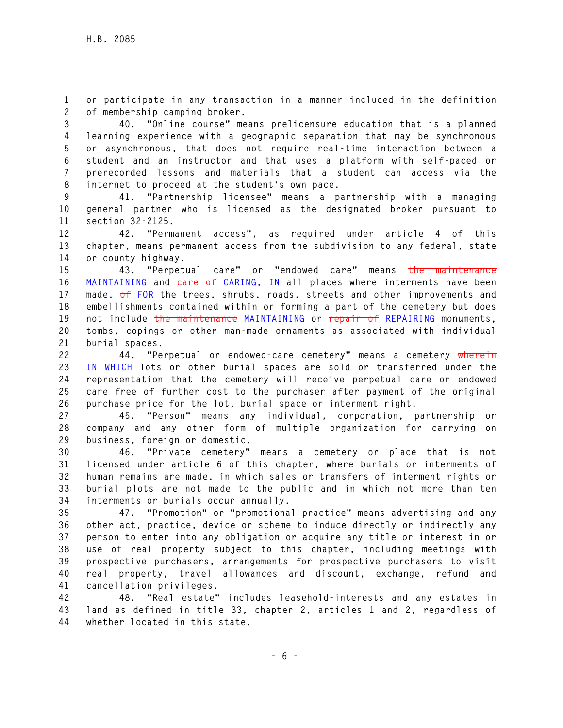**1 or participate in any transaction in a manner included in the definition 2 of membership camping broker.** 

**3 40. "Online course" means prelicensure education that is a planned 4 learning experience with a geographic separation that may be synchronous 5 or asynchronous, that does not require real-time interaction between a 6 student and an instructor and that uses a platform with self-paced or 7 prerecorded lessons and materials that a student can access via the 8 internet to proceed at the student's own pace.** 

**9 41. "Partnership licensee" means a partnership with a managing 10 general partner who is licensed as the designated broker pursuant to 11 section 32-2125.** 

**12 42. "Permanent access", as required under article 4 of this 13 chapter, means permanent access from the subdivision to any federal, state 14 or county highway.** 

**15 43. "Perpetual care" or "endowed care" means the maintenance 16 MAINTAINING and care of CARING, IN all places where interments have been 17 made, of FOR the trees, shrubs, roads, streets and other improvements and 18 embellishments contained within or forming a part of the cemetery but does 19 not include the maintenance MAINTAINING or repair of REPAIRING monuments, 20 tombs, copings or other man-made ornaments as associated with individual 21 burial spaces.** 

**22 44. "Perpetual or endowed-care cemetery" means a cemetery wherein 23 IN WHICH lots or other burial spaces are sold or transferred under the 24 representation that the cemetery will receive perpetual care or endowed 25 care free of further cost to the purchaser after payment of the original 26 purchase price for the lot, burial space or interment right.** 

**27 45. "Person" means any individual, corporation, partnership or 28 company and any other form of multiple organization for carrying on 29 business, foreign or domestic.** 

**30 46. "Private cemetery" means a cemetery or place that is not 31 licensed under article 6 of this chapter, where burials or interments of 32 human remains are made, in which sales or transfers of interment rights or 33 burial plots are not made to the public and in which not more than ten 34 interments or burials occur annually.** 

**35 47. "Promotion" or "promotional practice" means advertising and any 36 other act, practice, device or scheme to induce directly or indirectly any 37 person to enter into any obligation or acquire any title or interest in or 38 use of real property subject to this chapter, including meetings with 39 prospective purchasers, arrangements for prospective purchasers to visit 40 real property, travel allowances and discount, exchange, refund and 41 cancellation privileges.** 

**42 48. "Real estate" includes leasehold-interests and any estates in 43 land as defined in title 33, chapter 2, articles 1 and 2, regardless of 44 whether located in this state.**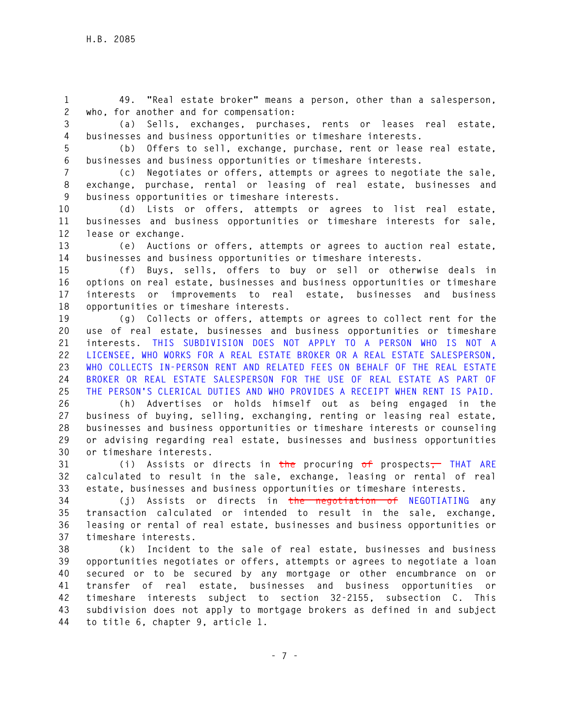**1 49. "Real estate broker" means a person, other than a salesperson, 2 who, for another and for compensation:** 

**3 (a) Sells, exchanges, purchases, rents or leases real estate, 4 businesses and business opportunities or timeshare interests.** 

**5 (b) Offers to sell, exchange, purchase, rent or lease real estate, 6 businesses and business opportunities or timeshare interests.** 

**7 (c) Negotiates or offers, attempts or agrees to negotiate the sale, 8 exchange, purchase, rental or leasing of real estate, businesses and 9 business opportunities or timeshare interests.** 

**10 (d) Lists or offers, attempts or agrees to list real estate, 11 businesses and business opportunities or timeshare interests for sale, 12 lease or exchange.** 

**13 (e) Auctions or offers, attempts or agrees to auction real estate, 14 businesses and business opportunities or timeshare interests.** 

**15 (f) Buys, sells, offers to buy or sell or otherwise deals in 16 options on real estate, businesses and business opportunities or timeshare 17 interests or improvements to real estate, businesses and business 18 opportunities or timeshare interests.** 

**19 (g) Collects or offers, attempts or agrees to collect rent for the 20 use of real estate, businesses and business opportunities or timeshare 21 interests. THIS SUBDIVISION DOES NOT APPLY TO A PERSON WHO IS NOT A 22 LICENSEE, WHO WORKS FOR A REAL ESTATE BROKER OR A REAL ESTATE SALESPERSON, 23 WHO COLLECTS IN-PERSON RENT AND RELATED FEES ON BEHALF OF THE REAL ESTATE 24 BROKER OR REAL ESTATE SALESPERSON FOR THE USE OF REAL ESTATE AS PART OF 25 THE PERSON'S CLERICAL DUTIES AND WHO PROVIDES A RECEIPT WHEN RENT IS PAID.** 

**26 (h) Advertises or holds himself out as being engaged in the 27 business of buying, selling, exchanging, renting or leasing real estate, 28 businesses and business opportunities or timeshare interests or counseling 29 or advising regarding real estate, businesses and business opportunities 30 or timeshare interests.** 

**31 (i) Assists or directs in the procuring of prospects, THAT ARE 32 calculated to result in the sale, exchange, leasing or rental of real 33 estate, businesses and business opportunities or timeshare interests.** 

**34 (j) Assists or directs in the negotiation of NEGOTIATING any 35 transaction calculated or intended to result in the sale, exchange, 36 leasing or rental of real estate, businesses and business opportunities or 37 timeshare interests.** 

**38 (k) Incident to the sale of real estate, businesses and business 39 opportunities negotiates or offers, attempts or agrees to negotiate a loan 40 secured or to be secured by any mortgage or other encumbrance on or 41 transfer of real estate, businesses and business opportunities or 42 timeshare interests subject to section 32-2155, subsection C. This 43 subdivision does not apply to mortgage brokers as defined in and subject 44 to title 6, chapter 9, article 1.**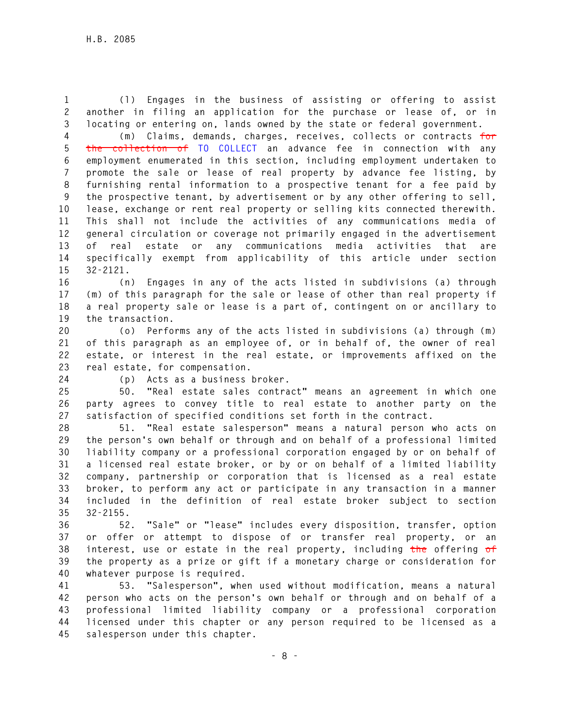**1 (l) Engages in the business of assisting or offering to assist 2 another in filing an application for the purchase or lease of, or in 3 locating or entering on, lands owned by the state or federal government.** 

**4 (m) Claims, demands, charges, receives, collects or contracts for 5 the collection of TO COLLECT an advance fee in connection with any 6 employment enumerated in this section, including employment undertaken to 7 promote the sale or lease of real property by advance fee listing, by 8 furnishing rental information to a prospective tenant for a fee paid by 9 the prospective tenant, by advertisement or by any other offering to sell, 10 lease, exchange or rent real property or selling kits connected therewith. 11 This shall not include the activities of any communications media of 12 general circulation or coverage not primarily engaged in the advertisement 13 of real estate or any communications media activities that are 14 specifically exempt from applicability of this article under section 15 32-2121.** 

**16 (n) Engages in any of the acts listed in subdivisions (a) through 17 (m) of this paragraph for the sale or lease of other than real property if 18 a real property sale or lease is a part of, contingent on or ancillary to 19 the transaction.** 

**20 (o) Performs any of the acts listed in subdivisions (a) through (m) 21 of this paragraph as an employee of, or in behalf of, the owner of real 22 estate, or interest in the real estate, or improvements affixed on the 23 real estate, for compensation.** 

**24 (p) Acts as a business broker.** 

**25 50. "Real estate sales contract" means an agreement in which one 26 party agrees to convey title to real estate to another party on the 27 satisfaction of specified conditions set forth in the contract.** 

**28 51. "Real estate salesperson" means a natural person who acts on 29 the person's own behalf or through and on behalf of a professional limited 30 liability company or a professional corporation engaged by or on behalf of 31 a licensed real estate broker, or by or on behalf of a limited liability 32 company, partnership or corporation that is licensed as a real estate 33 broker, to perform any act or participate in any transaction in a manner 34 included in the definition of real estate broker subject to section 35 32-2155.** 

**36 52. "Sale" or "lease" includes every disposition, transfer, option 37 or offer or attempt to dispose of or transfer real property, or an 38 interest, use or estate in the real property, including the offering of 39 the property as a prize or gift if a monetary charge or consideration for 40 whatever purpose is required.** 

**41 53. "Salesperson", when used without modification, means a natural 42 person who acts on the person's own behalf or through and on behalf of a 43 professional limited liability company or a professional corporation 44 licensed under this chapter or any person required to be licensed as a 45 salesperson under this chapter.**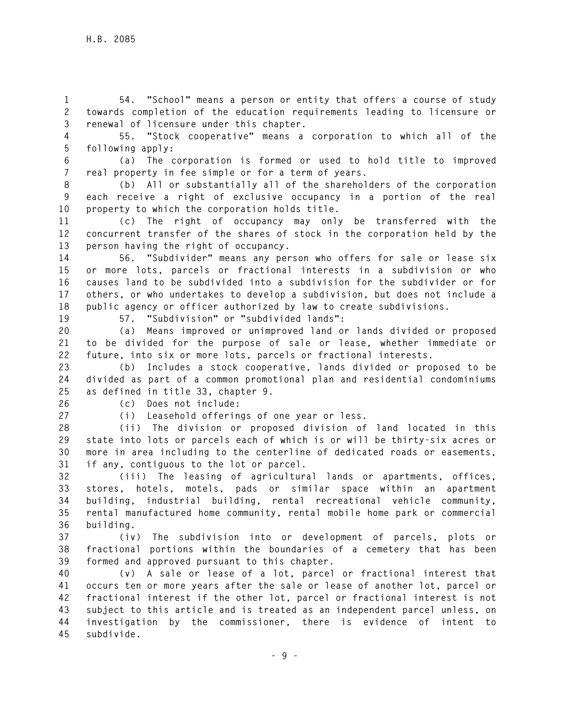**1 54. "School" means a person or entity that offers a course of study 2 towards completion of the education requirements leading to licensure or 3 renewal of licensure under this chapter.** 

**4 55. "Stock cooperative" means a corporation to which all of the 5 following apply:** 

**6 (a) The corporation is formed or used to hold title to improved 7 real property in fee simple or for a term of years.** 

**8 (b) All or substantially all of the shareholders of the corporation 9 each receive a right of exclusive occupancy in a portion of the real 10 property to which the corporation holds title.** 

**11 (c) The right of occupancy may only be transferred with the 12 concurrent transfer of the shares of stock in the corporation held by the 13 person having the right of occupancy.** 

**14 56. "Subdivider" means any person who offers for sale or lease six 15 or more lots, parcels or fractional interests in a subdivision or who 16 causes land to be subdivided into a subdivision for the subdivider or for 17 others, or who undertakes to develop a subdivision, but does not include a 18 public agency or officer authorized by law to create subdivisions.** 

**19 57. "Subdivision" or "subdivided lands":** 

**20 (a) Means improved or unimproved land or lands divided or proposed 21 to be divided for the purpose of sale or lease, whether immediate or 22 future, into six or more lots, parcels or fractional interests.** 

**23 (b) Includes a stock cooperative, lands divided or proposed to be 24 divided as part of a common promotional plan and residential condominiums 25 as defined in title 33, chapter 9.** 

**26 (c) Does not include: 27 (i) Leasehold offerings of one year or less.** 

**28 (ii) The division or proposed division of land located in this 29 state into lots or parcels each of which is or will be thirty-six acres or 30 more in area including to the centerline of dedicated roads or easements, 31 if any, contiguous to the lot or parcel.** 

**32 (iii) The leasing of agricultural lands or apartments, offices, 33 stores, hotels, motels, pads or similar space within an apartment 34 building, industrial building, rental recreational vehicle community, 35 rental manufactured home community, rental mobile home park or commercial 36 building.** 

**37 (iv) The subdivision into or development of parcels, plots or 38 fractional portions within the boundaries of a cemetery that has been 39 formed and approved pursuant to this chapter.** 

**40 (v) A sale or lease of a lot, parcel or fractional interest that 41 occurs ten or more years after the sale or lease of another lot, parcel or 42 fractional interest if the other lot, parcel or fractional interest is not 43 subject to this article and is treated as an independent parcel unless, on 44 investigation by the commissioner, there is evidence of intent to 45 subdivide.**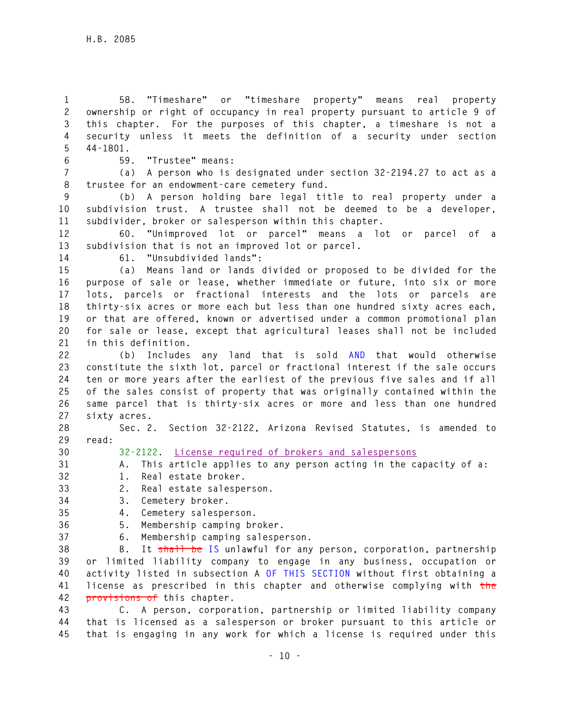**1 58. "Timeshare" or "timeshare property" means real property 2 ownership or right of occupancy in real property pursuant to article 9 of 3 this chapter. For the purposes of this chapter, a timeshare is not a 4 security unless it meets the definition of a security under section 5 44-1801.** 

## **6 59. "Trustee" means:**

**7 (a) A person who is designated under section 32-2194.27 to act as a 8 trustee for an endowment-care cemetery fund.** 

**9 (b) A person holding bare legal title to real property under a 10 subdivision trust. A trustee shall not be deemed to be a developer, 11 subdivider, broker or salesperson within this chapter.** 

**12 60. "Unimproved lot or parcel" means a lot or parcel of a 13 subdivision that is not an improved lot or parcel.** 

**14 61. "Unsubdivided lands":** 

**15 (a) Means land or lands divided or proposed to be divided for the 16 purpose of sale or lease, whether immediate or future, into six or more 17 lots, parcels or fractional interests and the lots or parcels are 18 thirty-six acres or more each but less than one hundred sixty acres each, 19 or that are offered, known or advertised under a common promotional plan 20 for sale or lease, except that agricultural leases shall not be included 21 in this definition.** 

**22 (b) Includes any land that is sold AND that would otherwise 23 constitute the sixth lot, parcel or fractional interest if the sale occurs 24 ten or more years after the earliest of the previous five sales and if all 25 of the sales consist of property that was originally contained within the 26 same parcel that is thirty-six acres or more and less than one hundred 27 sixty acres.** 

**28 Sec. 2. Section 32-2122, Arizona Revised Statutes, is amended to 29 read:** 

**30 32-2122. License required of brokers and salespersons**

**31 A. This article applies to any person acting in the capacity of a:** 

**32 1. Real estate broker.** 

**33 2. Real estate salesperson.** 

**34 3. Cemetery broker.** 

**35 4. Cemetery salesperson.** 

**36 5. Membership camping broker.** 

**37 6. Membership camping salesperson.** 

**38 B. It shall be IS unlawful for any person, corporation, partnership 39 or limited liability company to engage in any business, occupation or 40 activity listed in subsection A OF THIS SECTION without first obtaining a 41 license as prescribed in this chapter and otherwise complying with the 42 provisions of this chapter.** 

**43 C. A person, corporation, partnership or limited liability company 44 that is licensed as a salesperson or broker pursuant to this article or 45 that is engaging in any work for which a license is required under this**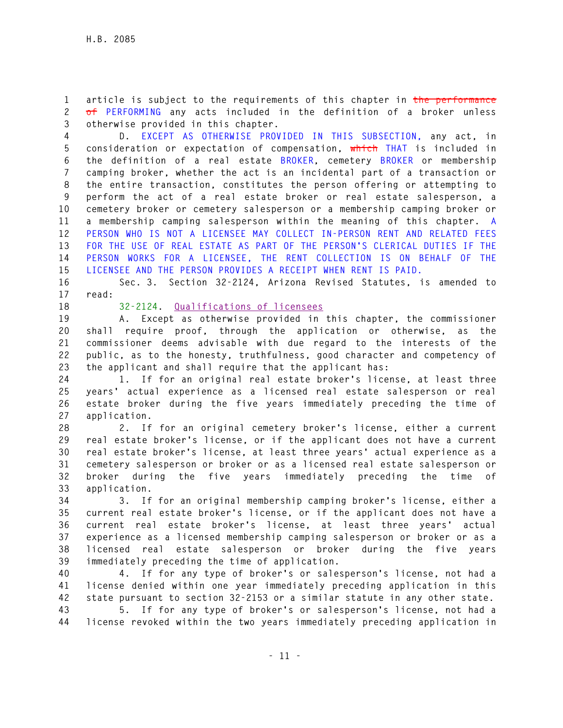**1 article is subject to the requirements of this chapter in the performance 2 of PERFORMING any acts included in the definition of a broker unless 3 otherwise provided in this chapter.** 

**4 D. EXCEPT AS OTHERWISE PROVIDED IN THIS SUBSECTION, any act, in 5 consideration or expectation of compensation, which THAT is included in 6 the definition of a real estate BROKER, cemetery BROKER or membership 7 camping broker, whether the act is an incidental part of a transaction or 8 the entire transaction, constitutes the person offering or attempting to 9 perform the act of a real estate broker or real estate salesperson, a 10 cemetery broker or cemetery salesperson or a membership camping broker or 11 a membership camping salesperson within the meaning of this chapter. A 12 PERSON WHO IS NOT A LICENSEE MAY COLLECT IN-PERSON RENT AND RELATED FEES 13 FOR THE USE OF REAL ESTATE AS PART OF THE PERSON'S CLERICAL DUTIES IF THE 14 PERSON WORKS FOR A LICENSEE, THE RENT COLLECTION IS ON BEHALF OF THE 15 LICENSEE AND THE PERSON PROVIDES A RECEIPT WHEN RENT IS PAID.** 

**16 Sec. 3. Section 32-2124, Arizona Revised Statutes, is amended to 17 read:** 

**18 32-2124. Qualifications of licensees**

**19 A. Except as otherwise provided in this chapter, the commissioner 20 shall require proof, through the application or otherwise, as the 21 commissioner deems advisable with due regard to the interests of the 22 public, as to the honesty, truthfulness, good character and competency of 23 the applicant and shall require that the applicant has:** 

**24 1. If for an original real estate broker's license, at least three 25 years' actual experience as a licensed real estate salesperson or real 26 estate broker during the five years immediately preceding the time of 27 application.** 

**28 2. If for an original cemetery broker's license, either a current 29 real estate broker's license, or if the applicant does not have a current 30 real estate broker's license, at least three years' actual experience as a 31 cemetery salesperson or broker or as a licensed real estate salesperson or 32 broker during the five years immediately preceding the time of 33 application.** 

**34 3. If for an original membership camping broker's license, either a 35 current real estate broker's license, or if the applicant does not have a 36 current real estate broker's license, at least three years' actual 37 experience as a licensed membership camping salesperson or broker or as a 38 licensed real estate salesperson or broker during the five years 39 immediately preceding the time of application.** 

**40 4. If for any type of broker's or salesperson's license, not had a 41 license denied within one year immediately preceding application in this 42 state pursuant to section 32-2153 or a similar statute in any other state.** 

**43 5. If for any type of broker's or salesperson's license, not had a 44 license revoked within the two years immediately preceding application in**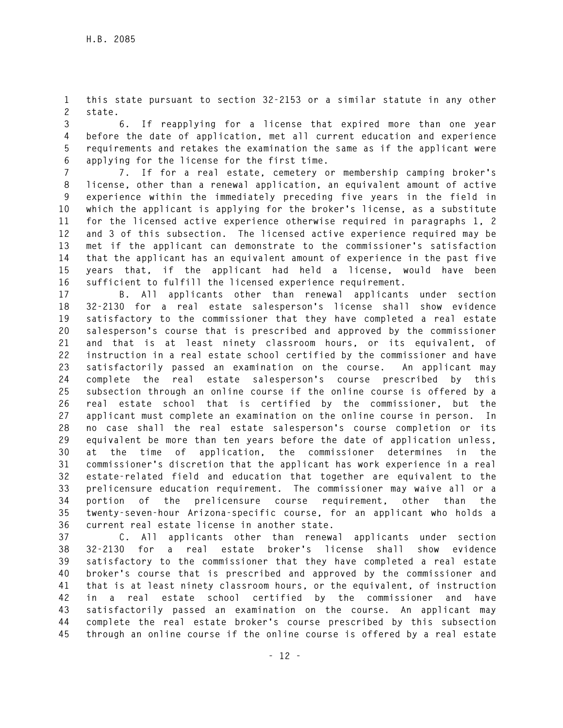**1 this state pursuant to section 32-2153 or a similar statute in any other 2 state.** 

**3 6. If reapplying for a license that expired more than one year 4 before the date of application, met all current education and experience 5 requirements and retakes the examination the same as if the applicant were 6 applying for the license for the first time.** 

**7 7. If for a real estate, cemetery or membership camping broker's 8 license, other than a renewal application, an equivalent amount of active 9 experience within the immediately preceding five years in the field in 10 which the applicant is applying for the broker's license, as a substitute 11 for the licensed active experience otherwise required in paragraphs 1, 2 12 and 3 of this subsection. The licensed active experience required may be 13 met if the applicant can demonstrate to the commissioner's satisfaction 14 that the applicant has an equivalent amount of experience in the past five 15 years that, if the applicant had held a license, would have been 16 sufficient to fulfill the licensed experience requirement.** 

**17 B. All applicants other than renewal applicants under section 18 32-2130 for a real estate salesperson's license shall show evidence 19 satisfactory to the commissioner that they have completed a real estate 20 salesperson's course that is prescribed and approved by the commissioner 21 and that is at least ninety classroom hours, or its equivalent, of 22 instruction in a real estate school certified by the commissioner and have 23 satisfactorily passed an examination on the course. An applicant may 24 complete the real estate salesperson's course prescribed by this 25 subsection through an online course if the online course is offered by a 26 real estate school that is certified by the commissioner, but the 27 applicant must complete an examination on the online course in person. In 28 no case shall the real estate salesperson's course completion or its 29 equivalent be more than ten years before the date of application unless, 30 at the time of application, the commissioner determines in the 31 commissioner's discretion that the applicant has work experience in a real 32 estate-related field and education that together are equivalent to the 33 prelicensure education requirement. The commissioner may waive all or a 34 portion of the prelicensure course requirement, other than the 35 twenty-seven-hour Arizona-specific course, for an applicant who holds a 36 current real estate license in another state.** 

**37 C. All applicants other than renewal applicants under section 38 32-2130 for a real estate broker's license shall show evidence 39 satisfactory to the commissioner that they have completed a real estate 40 broker's course that is prescribed and approved by the commissioner and 41 that is at least ninety classroom hours, or the equivalent, of instruction 42 in a real estate school certified by the commissioner and have 43 satisfactorily passed an examination on the course. An applicant may 44 complete the real estate broker's course prescribed by this subsection 45 through an online course if the online course is offered by a real estate**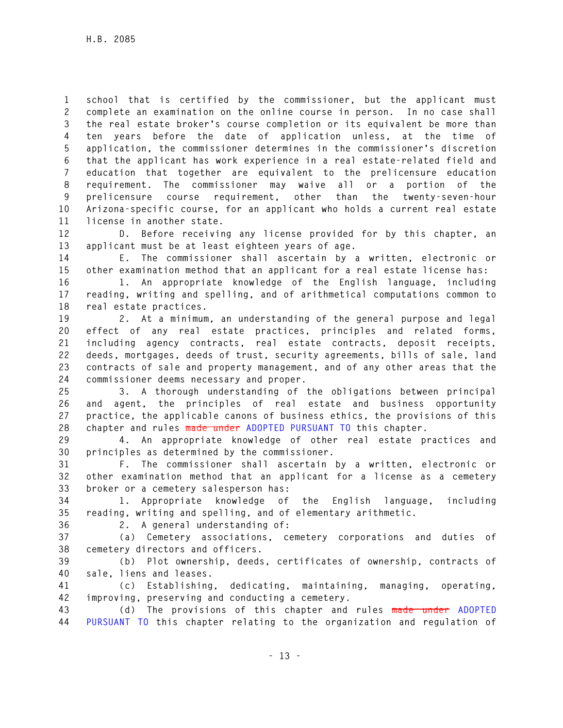**1 school that is certified by the commissioner, but the applicant must 2 complete an examination on the online course in person. In no case shall 3 the real estate broker's course completion or its equivalent be more than 4 ten years before the date of application unless, at the time of 5 application, the commissioner determines in the commissioner's discretion 6 that the applicant has work experience in a real estate-related field and 7 education that together are equivalent to the prelicensure education 8 requirement. The commissioner may waive all or a portion of the 9 prelicensure course requirement, other than the twenty-seven-hour 10 Arizona-specific course, for an applicant who holds a current real estate 11 license in another state.** 

**12 D. Before receiving any license provided for by this chapter, an 13 applicant must be at least eighteen years of age.** 

**14 E. The commissioner shall ascertain by a written, electronic or 15 other examination method that an applicant for a real estate license has:** 

**16 1. An appropriate knowledge of the English language, including 17 reading, writing and spelling, and of arithmetical computations common to 18 real estate practices.** 

**19 2. At a minimum, an understanding of the general purpose and legal 20 effect of any real estate practices, principles and related forms, 21 including agency contracts, real estate contracts, deposit receipts, 22 deeds, mortgages, deeds of trust, security agreements, bills of sale, land 23 contracts of sale and property management, and of any other areas that the 24 commissioner deems necessary and proper.** 

**25 3. A thorough understanding of the obligations between principal 26 and agent, the principles of real estate and business opportunity 27 practice, the applicable canons of business ethics, the provisions of this 28 chapter and rules made under ADOPTED PURSUANT TO this chapter.** 

**29 4. An appropriate knowledge of other real estate practices and 30 principles as determined by the commissioner.** 

**31 F. The commissioner shall ascertain by a written, electronic or 32 other examination method that an applicant for a license as a cemetery 33 broker or a cemetery salesperson has:** 

**34 1. Appropriate knowledge of the English language, including 35 reading, writing and spelling, and of elementary arithmetic.** 

**36 2. A general understanding of:** 

**37 (a) Cemetery associations, cemetery corporations and duties of 38 cemetery directors and officers.** 

**39 (b) Plot ownership, deeds, certificates of ownership, contracts of 40 sale, liens and leases.** 

**41 (c) Establishing, dedicating, maintaining, managing, operating, 42 improving, preserving and conducting a cemetery.** 

**43 (d) The provisions of this chapter and rules made under ADOPTED 44 PURSUANT TO this chapter relating to the organization and regulation of**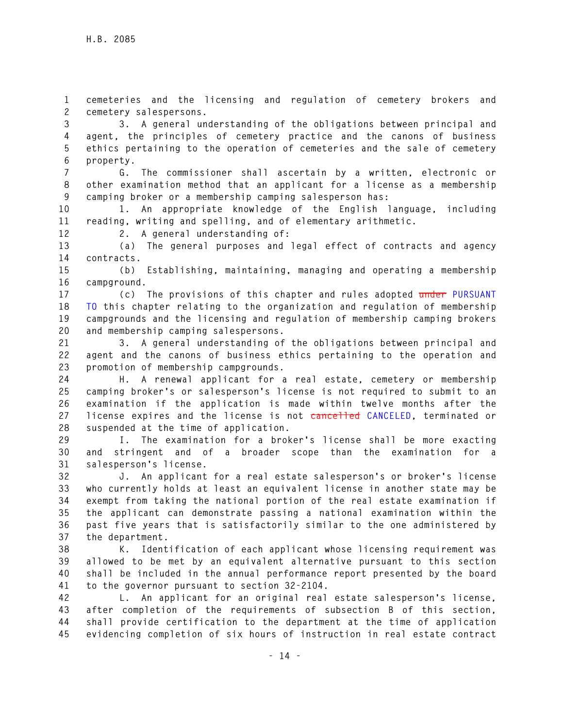**1 cemeteries and the licensing and regulation of cemetery brokers and 2 cemetery salespersons.** 

**3 3. A general understanding of the obligations between principal and 4 agent, the principles of cemetery practice and the canons of business 5 ethics pertaining to the operation of cemeteries and the sale of cemetery 6 property.** 

**7 G. The commissioner shall ascertain by a written, electronic or 8 other examination method that an applicant for a license as a membership 9 camping broker or a membership camping salesperson has:** 

**10 1. An appropriate knowledge of the English language, including 11 reading, writing and spelling, and of elementary arithmetic.** 

**12 2. A general understanding of:** 

**13 (a) The general purposes and legal effect of contracts and agency 14 contracts.** 

**15 (b) Establishing, maintaining, managing and operating a membership 16 campground.** 

**17 (c) The provisions of this chapter and rules adopted under PURSUANT 18 TO this chapter relating to the organization and regulation of membership 19 campgrounds and the licensing and regulation of membership camping brokers 20 and membership camping salespersons.** 

**21 3. A general understanding of the obligations between principal and 22 agent and the canons of business ethics pertaining to the operation and 23 promotion of membership campgrounds.** 

**24 H. A renewal applicant for a real estate, cemetery or membership 25 camping broker's or salesperson's license is not required to submit to an 26 examination if the application is made within twelve months after the 27 license expires and the license is not cancelled CANCELED, terminated or 28 suspended at the time of application.** 

**29 I. The examination for a broker's license shall be more exacting 30 and stringent and of a broader scope than the examination for a 31 salesperson's license.** 

**32 J. An applicant for a real estate salesperson's or broker's license 33 who currently holds at least an equivalent license in another state may be 34 exempt from taking the national portion of the real estate examination if 35 the applicant can demonstrate passing a national examination within the 36 past five years that is satisfactorily similar to the one administered by 37 the department.** 

**38 K. Identification of each applicant whose licensing requirement was 39 allowed to be met by an equivalent alternative pursuant to this section 40 shall be included in the annual performance report presented by the board 41 to the governor pursuant to section 32-2104.** 

**42 L. An applicant for an original real estate salesperson's license, 43 after completion of the requirements of subsection B of this section, 44 shall provide certification to the department at the time of application 45 evidencing completion of six hours of instruction in real estate contract**